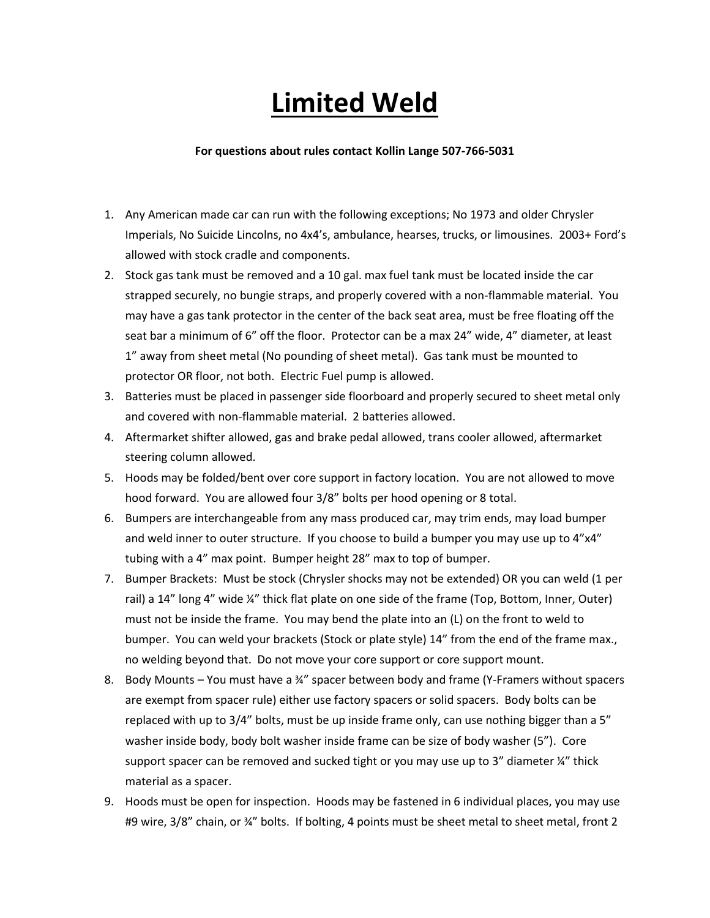## **Limited Weld**

## **For questions about rules contact Kollin Lange 507-766-5031**

- 1. Any American made car can run with the following exceptions; No 1973 and older Chrysler Imperials, No Suicide Lincolns, no 4x4's, ambulance, hearses, trucks, or limousines. 2003+ Ford's allowed with stock cradle and components.
- 2. Stock gas tank must be removed and a 10 gal. max fuel tank must be located inside the car strapped securely, no bungie straps, and properly covered with a non-flammable material. You may have a gas tank protector in the center of the back seat area, must be free floating off the seat bar a minimum of 6" off the floor. Protector can be a max 24" wide, 4" diameter, at least 1" away from sheet metal (No pounding of sheet metal). Gas tank must be mounted to protector OR floor, not both. Electric Fuel pump is allowed.
- 3. Batteries must be placed in passenger side floorboard and properly secured to sheet metal only and covered with non-flammable material. 2 batteries allowed.
- 4. Aftermarket shifter allowed, gas and brake pedal allowed, trans cooler allowed, aftermarket steering column allowed.
- 5. Hoods may be folded/bent over core support in factory location. You are not allowed to move hood forward. You are allowed four 3/8" bolts per hood opening or 8 total.
- 6. Bumpers are interchangeable from any mass produced car, may trim ends, may load bumper and weld inner to outer structure. If you choose to build a bumper you may use up to 4"x4" tubing with a 4" max point. Bumper height 28" max to top of bumper.
- 7. Bumper Brackets: Must be stock (Chrysler shocks may not be extended) OR you can weld (1 per rail) a 14" long 4" wide ¼" thick flat plate on one side of the frame (Top, Bottom, Inner, Outer) must not be inside the frame. You may bend the plate into an (L) on the front to weld to bumper. You can weld your brackets (Stock or plate style) 14" from the end of the frame max., no welding beyond that. Do not move your core support or core support mount.
- 8. Body Mounts You must have a 34" spacer between body and frame (Y-Framers without spacers are exempt from spacer rule) either use factory spacers or solid spacers. Body bolts can be replaced with up to 3/4" bolts, must be up inside frame only, can use nothing bigger than a 5" washer inside body, body bolt washer inside frame can be size of body washer (5"). Core support spacer can be removed and sucked tight or you may use up to 3" diameter  $\frac{1}{4}$ " thick material as a spacer.
- 9. Hoods must be open for inspection. Hoods may be fastened in 6 individual places, you may use #9 wire, 3/8" chain, or 34" bolts. If bolting, 4 points must be sheet metal to sheet metal, front 2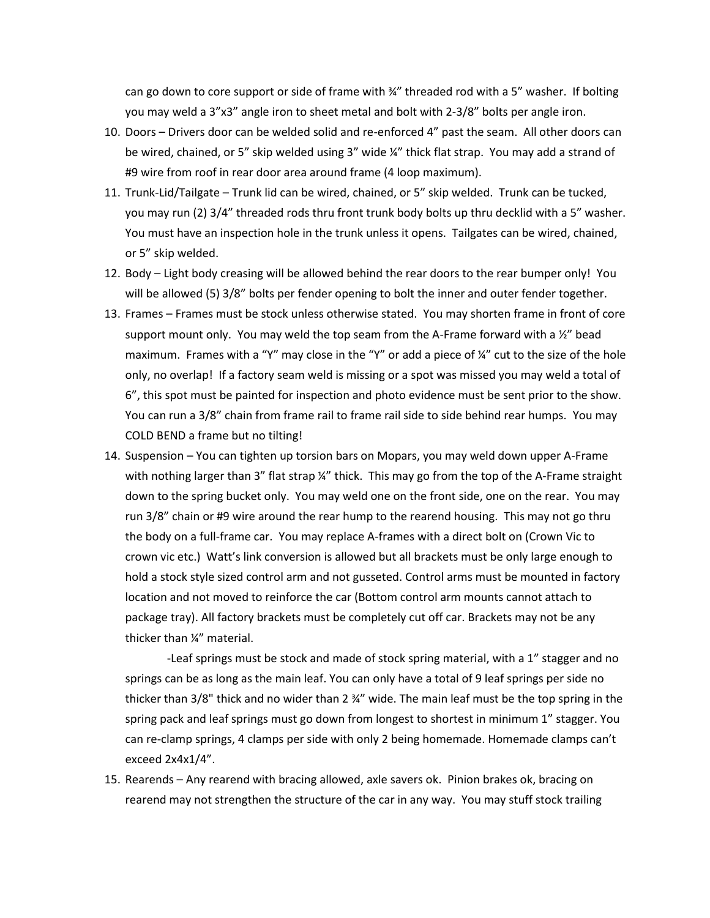can go down to core support or side of frame with  $\frac{3}{4}$ " threaded rod with a 5" washer. If bolting you may weld a 3"x3" angle iron to sheet metal and bolt with 2-3/8" bolts per angle iron.

- 10. Doors Drivers door can be welded solid and re-enforced 4" past the seam. All other doors can be wired, chained, or 5" skip welded using 3" wide ¼" thick flat strap. You may add a strand of #9 wire from roof in rear door area around frame (4 loop maximum).
- 11. Trunk-Lid/Tailgate Trunk lid can be wired, chained, or 5" skip welded. Trunk can be tucked, you may run (2) 3/4" threaded rods thru front trunk body bolts up thru decklid with a 5" washer. You must have an inspection hole in the trunk unless it opens. Tailgates can be wired, chained, or 5" skip welded.
- 12. Body Light body creasing will be allowed behind the rear doors to the rear bumper only! You will be allowed (5) 3/8" bolts per fender opening to bolt the inner and outer fender together.
- 13. Frames Frames must be stock unless otherwise stated. You may shorten frame in front of core support mount only. You may weld the top seam from the A-Frame forward with a  $\frac{1}{2}$  bead maximum. Frames with a "Y" may close in the "Y" or add a piece of  $\frac{1}{4}$ " cut to the size of the hole only, no overlap! If a factory seam weld is missing or a spot was missed you may weld a total of 6", this spot must be painted for inspection and photo evidence must be sent prior to the show. You can run a 3/8" chain from frame rail to frame rail side to side behind rear humps. You may COLD BEND a frame but no tilting!
- 14. Suspension You can tighten up torsion bars on Mopars, you may weld down upper A-Frame with nothing larger than 3" flat strap ¼" thick. This may go from the top of the A-Frame straight down to the spring bucket only. You may weld one on the front side, one on the rear. You may run 3/8" chain or #9 wire around the rear hump to the rearend housing. This may not go thru the body on a full-frame car. You may replace A-frames with a direct bolt on (Crown Vic to crown vic etc.) Watt's link conversion is allowed but all brackets must be only large enough to hold a stock style sized control arm and not gusseted. Control arms must be mounted in factory location and not moved to reinforce the car (Bottom control arm mounts cannot attach to package tray). All factory brackets must be completely cut off car. Brackets may not be any thicker than ¼" material.

-Leaf springs must be stock and made of stock spring material, with a 1" stagger and no springs can be as long as the main leaf. You can only have a total of 9 leaf springs per side no thicker than 3/8" thick and no wider than 2 ¾" wide. The main leaf must be the top spring in the spring pack and leaf springs must go down from longest to shortest in minimum 1" stagger. You can re-clamp springs, 4 clamps per side with only 2 being homemade. Homemade clamps can't exceed 2x4x1/4".

15. Rearends – Any rearend with bracing allowed, axle savers ok. Pinion brakes ok, bracing on rearend may not strengthen the structure of the car in any way. You may stuff stock trailing